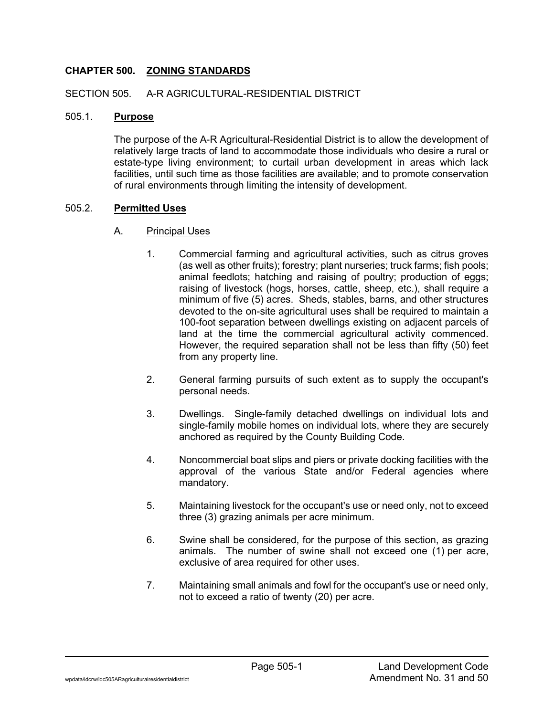## **CHAPTER 500. ZONING STANDARDS**

#### SECTION 505. A-R AGRICULTURAL-RESIDENTIAL DISTRICT

#### 505.1. **Purpose**

The purpose of the A-R Agricultural-Residential District is to allow the development of relatively large tracts of land to accommodate those individuals who desire a rural or estate-type living environment; to curtail urban development in areas which lack facilities, until such time as those facilities are available; and to promote conservation of rural environments through limiting the intensity of development.

#### 505.2. **Permitted Uses**

## A. Principal Uses

- 1. Commercial farming and agricultural activities, such as citrus groves (as well as other fruits); forestry; plant nurseries; truck farms; fish pools; animal feedlots; hatching and raising of poultry; production of eggs; raising of livestock (hogs, horses, cattle, sheep, etc.), shall require a minimum of five (5) acres. Sheds, stables, barns, and other structures devoted to the on-site agricultural uses shall be required to maintain a 100-foot separation between dwellings existing on adjacent parcels of land at the time the commercial agricultural activity commenced. However, the required separation shall not be less than fifty (50) feet from any property line.
- 2. General farming pursuits of such extent as to supply the occupant's personal needs.
- 3. Dwellings. Single-family detached dwellings on individual lots and single-family mobile homes on individual lots, where they are securely anchored as required by the County Building Code.
- 4. Noncommercial boat slips and piers or private docking facilities with the approval of the various State and/or Federal agencies where mandatory.
- 5. Maintaining livestock for the occupant's use or need only, not to exceed three (3) grazing animals per acre minimum.
- 6. Swine shall be considered, for the purpose of this section, as grazing animals. The number of swine shall not exceed one (1) per acre, exclusive of area required for other uses.
- 7. Maintaining small animals and fowl for the occupant's use or need only, not to exceed a ratio of twenty (20) per acre.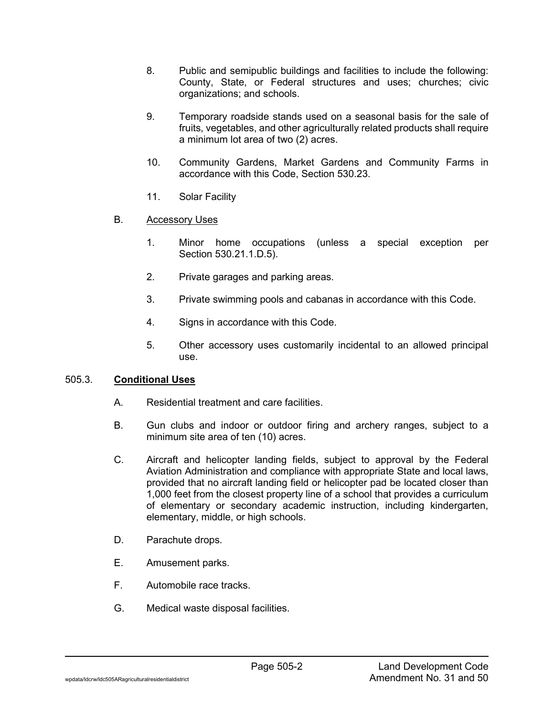- 8. Public and semipublic buildings and facilities to include the following: County, State, or Federal structures and uses; churches; civic organizations; and schools.
- 9. Temporary roadside stands used on a seasonal basis for the sale of fruits, vegetables, and other agriculturally related products shall require a minimum lot area of two (2) acres.
- 10. Community Gardens, Market Gardens and Community Farms in accordance with this Code, Section 530.23.
- 11. Solar Facility
- B. Accessory Uses
	- 1. Minor home occupations (unless a special exception per Section 530.21.1.D.5).
	- 2. Private garages and parking areas.
	- 3. Private swimming pools and cabanas in accordance with this Code.
	- 4. Signs in accordance with this Code.
	- 5. Other accessory uses customarily incidental to an allowed principal use.

## 505.3. **Conditional Uses**

- A. Residential treatment and care facilities.
- B. Gun clubs and indoor or outdoor firing and archery ranges, subject to a minimum site area of ten (10) acres.
- C. Aircraft and helicopter landing fields, subject to approval by the Federal Aviation Administration and compliance with appropriate State and local laws, provided that no aircraft landing field or helicopter pad be located closer than 1,000 feet from the closest property line of a school that provides a curriculum of elementary or secondary academic instruction, including kindergarten, elementary, middle, or high schools.
- D. Parachute drops.
- E. Amusement parks.
- F. Automobile race tracks.
- G. Medical waste disposal facilities.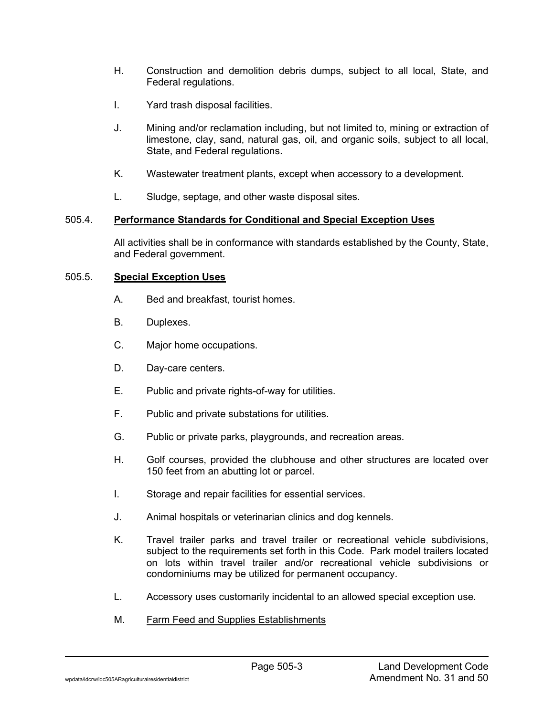- H. Construction and demolition debris dumps, subject to all local, State, and Federal regulations.
- I. Yard trash disposal facilities.
- J. Mining and/or reclamation including, but not limited to, mining or extraction of limestone, clay, sand, natural gas, oil, and organic soils, subject to all local, State, and Federal regulations.
- K. Wastewater treatment plants, except when accessory to a development.
- L. Sludge, septage, and other waste disposal sites.

## 505.4. **Performance Standards for Conditional and Special Exception Uses**

All activities shall be in conformance with standards established by the County, State, and Federal government.

## 505.5. **Special Exception Uses**

- A. Bed and breakfast, tourist homes.
- B. Duplexes.
- C. Major home occupations.
- D. Day-care centers.
- E. Public and private rights-of-way for utilities.
- F. Public and private substations for utilities.
- G. Public or private parks, playgrounds, and recreation areas.
- H. Golf courses, provided the clubhouse and other structures are located over 150 feet from an abutting lot or parcel.
- I. Storage and repair facilities for essential services.
- J. Animal hospitals or veterinarian clinics and dog kennels.
- K. Travel trailer parks and travel trailer or recreational vehicle subdivisions, subject to the requirements set forth in this Code. Park model trailers located on lots within travel trailer and/or recreational vehicle subdivisions or condominiums may be utilized for permanent occupancy.
- L. Accessory uses customarily incidental to an allowed special exception use.
- M. Farm Feed and Supplies Establishments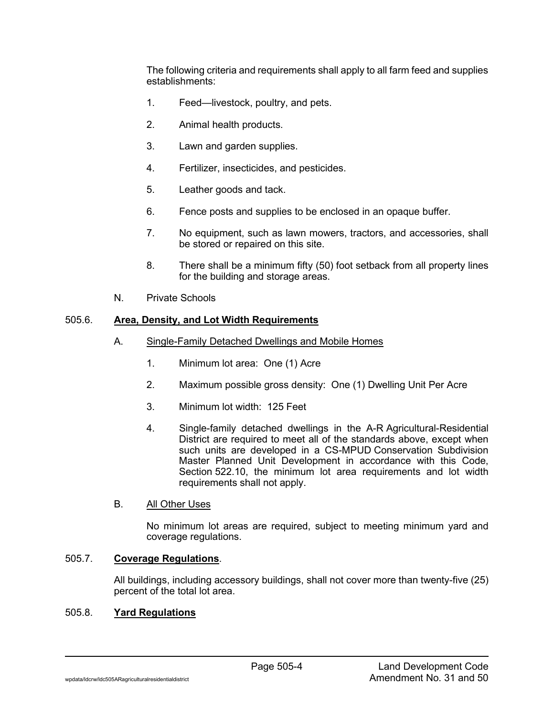The following criteria and requirements shall apply to all farm feed and supplies establishments:

- 1. Feed—livestock, poultry, and pets.
- 2. Animal health products.
- 3. Lawn and garden supplies.
- 4. Fertilizer, insecticides, and pesticides.
- 5. Leather goods and tack.
- 6. Fence posts and supplies to be enclosed in an opaque buffer.
- 7. No equipment, such as lawn mowers, tractors, and accessories, shall be stored or repaired on this site.
- 8. There shall be a minimum fifty (50) foot setback from all property lines for the building and storage areas.
- N. Private Schools

## 505.6. **Area, Density, and Lot Width Requirements**

- A. Single-Family Detached Dwellings and Mobile Homes
	- 1. Minimum lot area: One (1) Acre
	- 2. Maximum possible gross density: One (1) Dwelling Unit Per Acre
	- 3. Minimum lot width: 125 Feet
	- 4. Single-family detached dwellings in the A-R Agricultural-Residential District are required to meet all of the standards above, except when such units are developed in a CS-MPUD Conservation Subdivision Master Planned Unit Development in accordance with this Code, Section 522.10, the minimum lot area requirements and lot width requirements shall not apply.

## B. All Other Uses

No minimum lot areas are required, subject to meeting minimum yard and coverage regulations.

# 505.7. **Coverage Regulations**.

All buildings, including accessory buildings, shall not cover more than twenty-five (25) percent of the total lot area.

#### 505.8. **Yard Regulations**